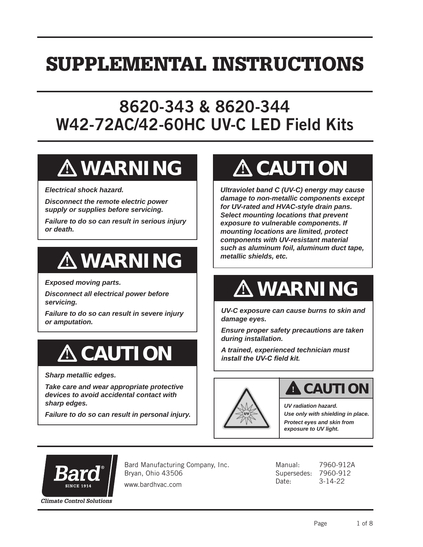## SUPPLEMENTAL INSTRUCTIONS

## 8620-343 & 8620-344 W42-72AC/42-60HC UV-C LED Field Kits

# **! WARNING**

*Electrical shock hazard.*

*Disconnect the remote electric power supply or supplies before servicing.*

*Failure to do so can result in serious injury or death.*

# **! WARNING**

*Exposed moving parts.*

*Disconnect all electrical power before servicing.*

*Failure to do so can result in severe injury or amputation.*

# **! CAUTION**

*Sharp metallic edges.*

*Take care and wear appropriate protective devices to avoid accidental contact with sharp edges.*

*Failure to do so can result in personal injury.*

# **! CAUTION**

*Ultraviolet band C (UV-C) energy may cause damage to non-metallic components except for UV-rated and HVAC-style drain pans. Select mounting locations that prevent exposure to vulnerable components. If mounting locations are limited, protect components with UV-resistant material such as aluminum foil, aluminum duct tape, metallic shields, etc.*

# **! WARNING**

*UV-C exposure can cause burns to skin and damage eyes.*

*Ensure proper safety precautions are taken during installation.*

*A trained, experienced technician must install the UV-C field kit.*



### **! CAUTION**

*UV radiation hazard. Use only with shielding in place. Protect eyes and skin from exposure to UV light.*



Bard Manufacturing Company, Inc. Bryan, Ohio 43506

www.bardhvac.com

Manual: 7960-912A Supersedes: 7960-912 Date: 3-14-22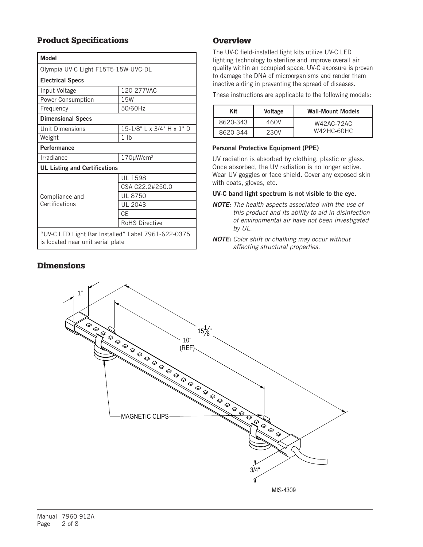### Product Specifications

| <b>Model</b>                                                                            |                           |  |  |
|-----------------------------------------------------------------------------------------|---------------------------|--|--|
| Olympia UV-C Light F15T5-15W-UVC-DL                                                     |                           |  |  |
| <b>Electrical Specs</b>                                                                 |                           |  |  |
| Input Voltage                                                                           | 120-277VAC                |  |  |
| Power Consumption                                                                       | 15W                       |  |  |
| Frequency                                                                               | 50/60Hz                   |  |  |
| <b>Dimensional Specs</b>                                                                |                           |  |  |
| <b>Unit Dimensions</b>                                                                  | 15-1/8" L x 3/4" H x 1" D |  |  |
| Weight                                                                                  | 1 <sub>lb</sub>           |  |  |
| Performance                                                                             |                           |  |  |
| Irradiance                                                                              | 170µW/cm <sup>2</sup>     |  |  |
| <b>UL Listing and Certifications</b>                                                    |                           |  |  |
| Compliance and<br>Certifications                                                        | UL 1598                   |  |  |
|                                                                                         | CSA C22.2#250.0           |  |  |
|                                                                                         | <b>UL 8750</b>            |  |  |
|                                                                                         | UL 2043                   |  |  |
|                                                                                         | CF                        |  |  |
|                                                                                         | <b>RoHS Directive</b>     |  |  |
| "UV-C LED Light Bar Installed" Label 7961-622-0375<br>is located near unit serial plate |                           |  |  |

### **Dimensions**

### **Overview**

The UV-C field-installed light kits utilize UV-C LED lighting technology to sterilize and improve overall air quality within an occupied space. UV-C exposure is proven to damage the DNA of microorganisms and render them inactive aiding in preventing the spread of diseases.

These instructions are applicable to the following models:

| Kit      | <b>Voltage</b> | <b>Wall-Mount Models</b> |
|----------|----------------|--------------------------|
| 8620-343 | 460V           | W42AC-72AC               |
| 8620-344 | 230V           | W42HC-60HC               |

#### Personal Protective Equipment (PPE)

UV radiation is absorbed by clothing, plastic or glass. Once absorbed, the UV radiation is no longer active. Wear UV goggles or face shield. Cover any exposed skin with coats, gloves, etc.

#### UV-C band light spectrum is not visible to the eye.

- *NOTE: The health aspects associated with the use of this product and its ability to aid in disinfection of environmental air have not been investigated by UL.*
- *NOTE: Color shift or chalking may occur without affecting structural properties.*

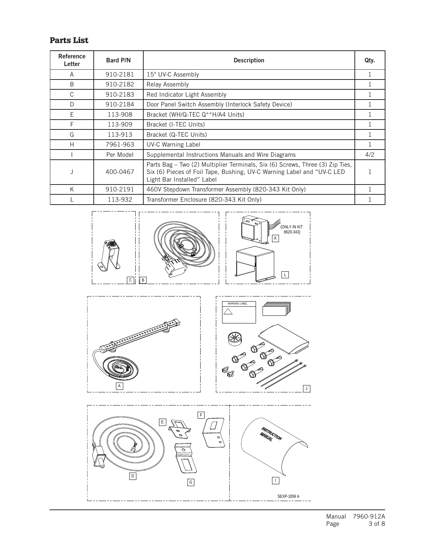### Parts List

| Reference<br>Letter | <b>Bard P/N</b> | <b>Description</b>                                                                                                                                                                    | Qty. |
|---------------------|-----------------|---------------------------------------------------------------------------------------------------------------------------------------------------------------------------------------|------|
| A                   | 910-2181        | 15" UV-C Assembly                                                                                                                                                                     |      |
| <sub>B</sub>        | 910-2182        | Relay Assembly                                                                                                                                                                        |      |
| C                   | 910-2183        | Red Indicator Light Assembly                                                                                                                                                          |      |
| D                   | 910-2184        | Door Panel Switch Assembly (Interlock Safety Device)                                                                                                                                  |      |
| F                   | 113-908         | Bracket (WH/Q-TEC Q**H/A4 Units)                                                                                                                                                      |      |
| F                   | 113-909         | Bracket (I-TEC Units)                                                                                                                                                                 |      |
| G                   | 113-913         | Bracket (Q-TEC Units)                                                                                                                                                                 |      |
| H                   | 7961-963        | <b>UV-C Warning Label</b>                                                                                                                                                             |      |
|                     | Per Model       | Supplemental Instructions Manuals and Wire Diagrams                                                                                                                                   | 4/2  |
|                     | 400-0467        | Parts Bag - Two (2) Multiplier Terminals, Six (6) Screws, Three (3) Zip Ties,<br>Six (6) Pieces of Foil Tape, Bushing, UV-C Warning Label and "UV-C LED<br>Light Bar Installed" Label |      |
| K                   | 910-2191        | 460V Stepdown Transformer Assembly (820-343 Kit Only)                                                                                                                                 |      |
|                     | 113-932         | Transformer Enclosure (820-343 Kit Only)                                                                                                                                              |      |





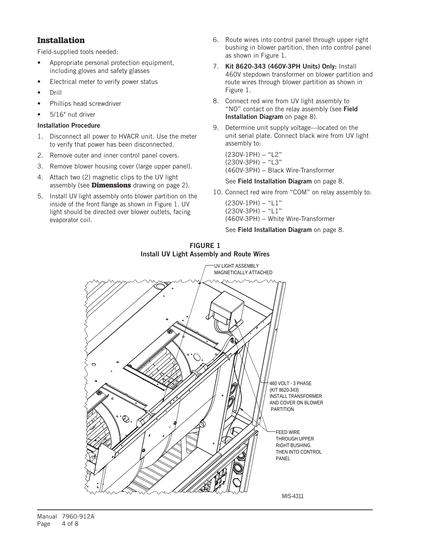### Installation

Field-supplied tools needed:

- Appropriate personal protection equipment, including gloves and safety glasses
- Electrical meter to verify power status
- Drill
- Phillips head screwdriver
- 5/16" nut driver

#### Installation Procedure

- 1. Disconnect all power to HVACR unit. Use the meter to verify that power has been disconnected.
- 2. Remove outer and inner control panel covers.
- 3. Remove blower housing cover (large upper panel).
- 4. Attach two (2) magnetic clips to the UV light assembly (see **Dimensions** drawing on page 2).
- 5. Install UV light assembly onto blower partition on the inside of the front flange as shown in Figure 1. UV light should be directed over blower outlets, facing evaporator coil.
- 6. Route wires into control panel through upper right bushing in blower partition, then into control panel as shown in Figure 1.
- 7. Kit 8620-343 (460V-3PH Units) Only: Install 460V stepdown transformer on blower partition and route wires through blower partition as shown in Figure 1.
- 8. Connect red wire from UV light assembly to "NO" contact on the relay assembly (see Field Installation Diagram on page 8).
- 9. Determine unit supply voltage—located on the unit serial plate. Connect black wire from UV light assembly to:

(230V-1PH) − "L2" (230V-3PH) − "L3" (460V-3PH) – Black Wire-Transformer

#### See Field Installation Diagram on page 8.

10. Connect red wire from "COM" on relay assembly to:

(230V-1PH) − "L1" (230V-3PH) − "L1" (460V-3PH) − White Wire-Transformer

#### See Field Installation Diagram on page 8.



#### FIGURE 1 Install UV Light Assembly and Route Wires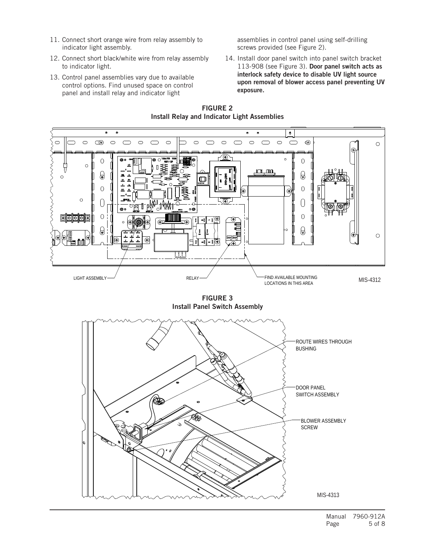- 11. Connect short orange wire from relay assembly to indicator light assembly.
- 12. Connect short black/white wire from relay assembly to indicator light.
- 13. Control panel assemblies vary due to available control options. Find unused space on control panel and install relay and indicator light

assemblies in control panel using self-drilling screws provided (see Figure 2).

14. Install door panel switch into panel switch bracket 113-908 (see Figure 3). Door panel switch acts as interlock safety device to disable UV light source upon removal of blower access panel preventing UV exposure.



FIGURE 2

FIGURE 3 Install Panel Switch Assembly

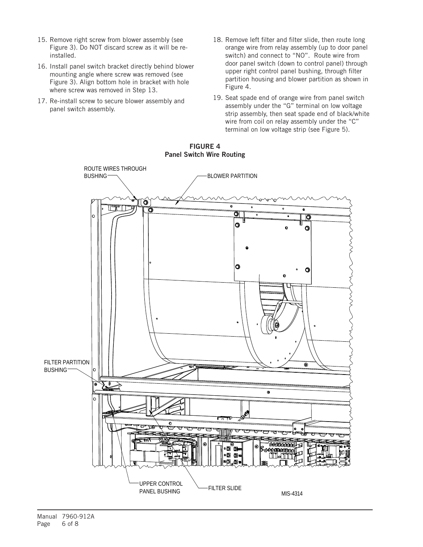- 15. Remove right screw from blower assembly (see Figure 3). Do NOT discard screw as it will be reinstalled.
- 16. Install panel switch bracket directly behind blower mounting angle where screw was removed (see Figure 3). Align bottom hole in bracket with hole where screw was removed in Step 13.
- 17. Re-install screw to secure blower assembly and panel switch assembly.
- 18. Remove left filter and filter slide, then route long orange wire from relay assembly (up to door panel switch) and connect to "NO". Route wire from door panel switch (down to control panel) through upper right control panel bushing, through filter partition housing and blower partition as shown in Figure 4.
- 19. Seat spade end of orange wire from panel switch assembly under the "G" terminal on low voltage strip assembly, then seat spade end of black/white wire from coil on relay assembly under the "C" terminal on low voltage strip (see Figure 5).



#### FIGURE 4 Panel Switch Wire Routing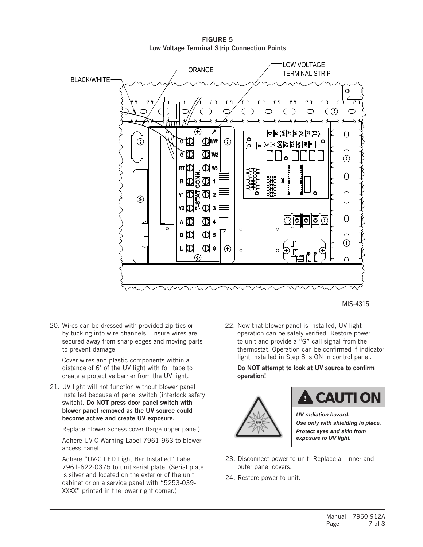FIGURE 5 Low Voltage Terminal Strip Connection Points



MIS-4315

20. Wires can be dressed with provided zip ties or by tucking into wire channels. Ensure wires are secured away from sharp edges and moving parts to prevent damage.

Cover wires and plastic components within a distance of 6" of the UV light with foil tape to create a protective barrier from the UV light.

21. UV light will not function without blower panel installed because of panel switch (interlock safety switch). Do NOT press door panel switch with blower panel removed as the UV source could become active and create UV exposure.

Replace blower access cover (large upper panel).

Adhere UV-C Warning Label 7961-963 to blower access panel.

Adhere "UV-C LED Light Bar Installed" Label 7961-622-0375 to unit serial plate. (Serial plate is silver and located on the exterior of the unit cabinet or on a service panel with "5253-039- XXXX" printed in the lower right corner.)

22. Now that blower panel is installed, UV light operation can be safely verified. Restore power to unit and provide a "G" call signal from the thermostat. Operation can be confirmed if indicator light installed in Step 8 is ON in control panel.

Do NOT attempt to look at UV source to confirm operation!



## **! CAUTION**

*UV radiation hazard. Use only with shielding in place. Protect eyes and skin from exposure to UV light.*

- 23. Disconnect power to unit. Replace all inner and outer panel covers.
- 24. Restore power to unit.